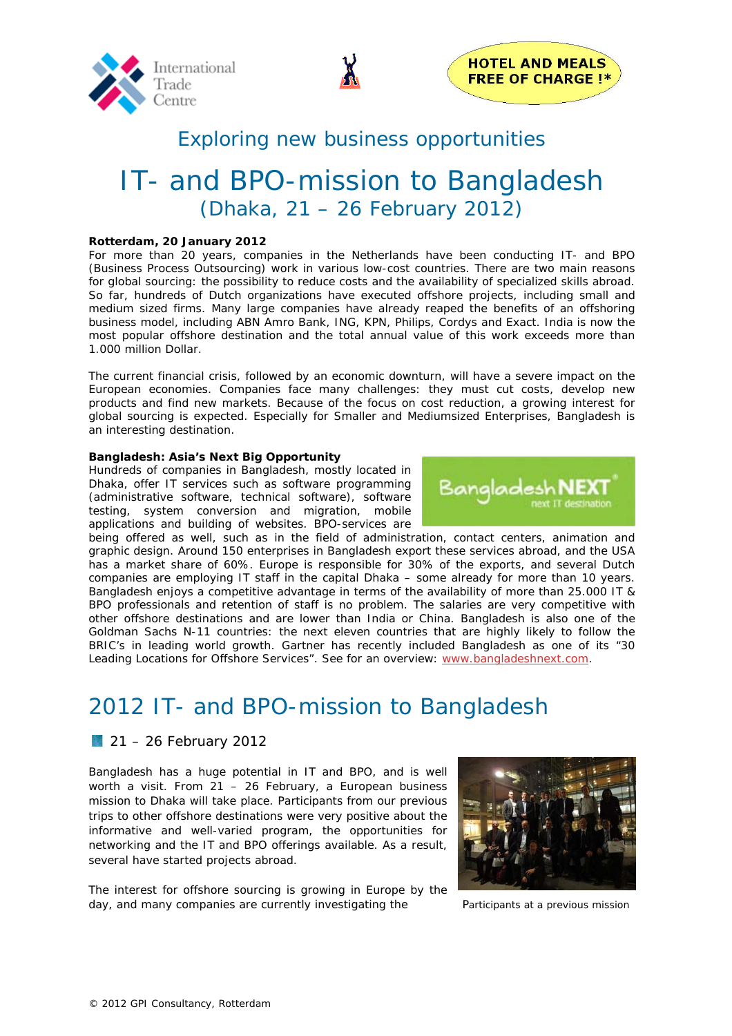



### Exploring new business opportunities

# IT- and BPO-mission to Bangladesh (Dhaka, 21 – 26 February 2012)

#### **Rotterdam, 20 January 2012**

For more than 20 years, companies in the Netherlands have been conducting IT- and BPO (Business Process Outsourcing) work in various low-cost countries. There are two main reasons for global sourcing: the possibility to reduce costs and the availability of specialized skills abroad. So far, hundreds of Dutch organizations have executed offshore projects, including small and medium sized firms. Many large companies have already reaped the benefits of an offshoring business model, including ABN Amro Bank, ING, KPN, Philips, Cordys and Exact. India is now the most popular offshore destination and the total annual value of this work exceeds more than 1.000 million Dollar.

The current financial crisis, followed by an economic downturn, will have a severe impact on the European economies. Companies face many challenges: they must cut costs, develop new products and find new markets. Because of the focus on cost reduction, a growing interest for global sourcing is expected. Especially for Smaller and Mediumsized Enterprises, Bangladesh is an interesting destination.

#### **Bangladesh: Asia's Next Big Opportunity**

Hundreds of companies in Bangladesh, mostly located in Dhaka, offer IT services such as software programming (administrative software, technical software), software testing, system conversion and migration, mobile applications and building of websites. BPO-services are

being offered as well, such as in the field of administration, contact centers, animation and graphic design. Around 150 enterprises in Bangladesh export these services abroad, and the USA has a market share of 60%. Europe is responsible for 30% of the exports, and several Dutch companies are employing IT staff in the capital Dhaka – some already for more than 10 years. Bangladesh enjoys a competitive advantage in terms of the availability of more than 25.000 IT & BPO professionals and retention of staff is no problem. The salaries are very competitive with other offshore destinations and are lower than India or China. Bangladesh is also one of the Goldman Sachs N-11 countries: the next eleven countries that are highly likely to follow the BRIC's in leading world growth. Gartner has recently included Bangladesh as one of its "30 Leading Locations for Offshore Services". See for an overview: www.bangladeshnext.com.

## 2012 IT- and BPO-mission to Bangladesh

#### **21 – 26 February 2012**

Bangladesh has a huge potential in IT and BPO, and is well worth a visit. From 21 – 26 February, a European business mission to Dhaka will take place. Participants from our previous trips to other offshore destinations were very positive about the informative and well-varied program, the opportunities for networking and the IT and BPO offerings available. As a result, several have started projects abroad.

The interest for offshore sourcing is growing in Europe by the day, and many companies are currently investigating the Participants at a previous mission



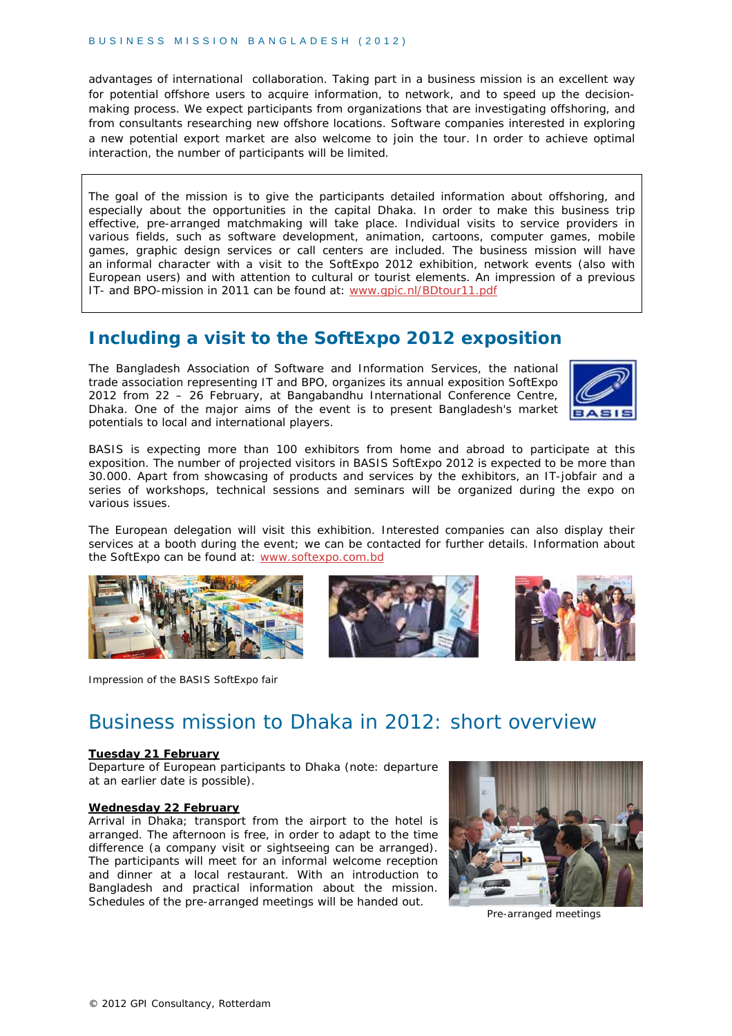advantages of international collaboration. Taking part in a business mission is an excellent way for potential offshore users to acquire information, to network, and to speed up the decisionmaking process. We expect participants from organizations that are investigating offshoring, and from consultants researching new offshore locations. Software companies interested in exploring a new potential export market are also welcome to join the tour. In order to achieve optimal interaction, the number of participants will be limited.

The goal of the mission is to give the participants detailed information about offshoring, and especially about the opportunities in the capital Dhaka. In order to make this business trip effective, pre-arranged matchmaking will take place. Individual visits to service providers in various fields, such as software development, animation, cartoons, computer games, mobile games, graphic design services or call centers are included. The business mission will have an informal character with a visit to the SoftExpo 2012 exhibition, network events (also with European users) and with attention to cultural or tourist elements. An impression of a previous IT- and BPO-mission in 2011 can be found at: www.gpic.nl/BDtour11.pdf

### **Including a visit to the SoftExpo 2012 exposition**

The Bangladesh Association of Software and Information Services, the national trade association representing IT and BPO, organizes its annual exposition SoftExpo 2012 from 22 – 26 February, at Bangabandhu International Conference Centre, Dhaka. One of the major aims of the event is to present Bangladesh's market potentials to local and international players.



BASIS is expecting more than 100 exhibitors from home and abroad to participate at this exposition. The number of projected visitors in BASIS SoftExpo 2012 is expected to be more than 30.000. Apart from showcasing of products and services by the exhibitors, an IT-jobfair and a series of workshops, technical sessions and seminars will be organized during the expo on various issues.

The European delegation will visit this exhibition. Interested companies can also display their services at a booth during the event; we can be contacted for further details. Information about the SoftExpo can be found at: www.softexpo.com.bd



Impression of the BASIS SoftExpo fair





## Business mission to Dhaka in 2012: short overview

#### **Tuesday 21 February**

Departure of European participants to Dhaka (note: departure at an earlier date is possible).

#### **Wednesday 22 February**

Arrival in Dhaka; transport from the airport to the hotel is arranged. The afternoon is free, in order to adapt to the time difference (a company visit or sightseeing can be arranged). The participants will meet for an informal welcome reception and dinner at a local restaurant. With an introduction to Bangladesh and practical information about the mission. Schedules of the pre-arranged meetings will be handed out.



Pre-arranged meetings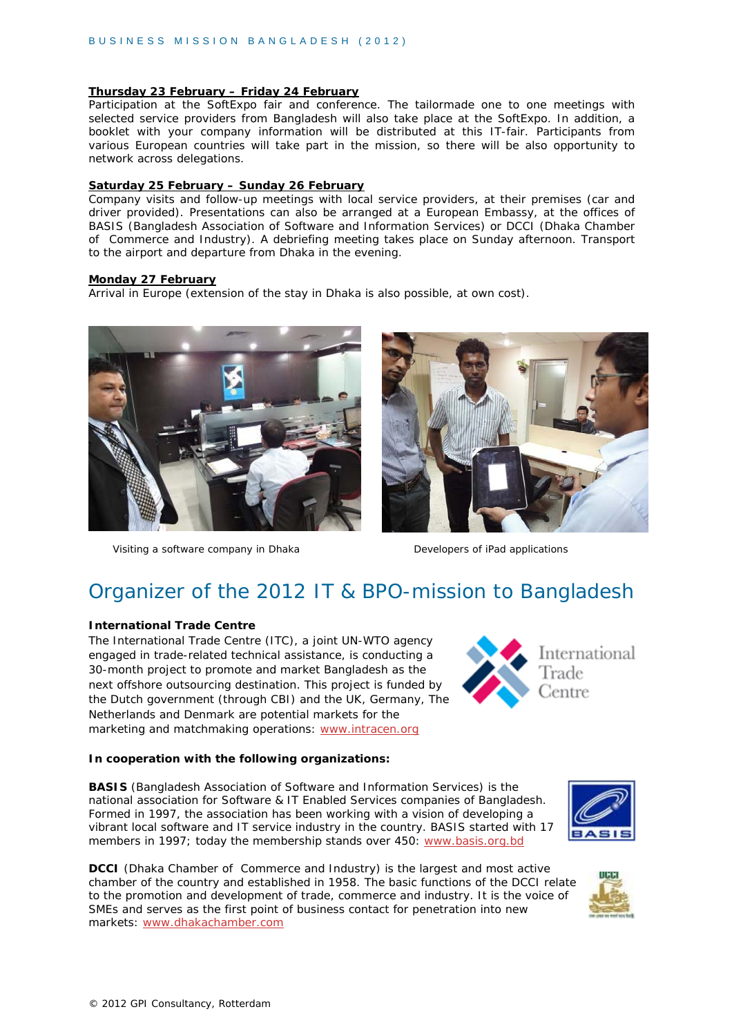#### **Thursday 23 February – Friday 24 February**

Participation at the SoftExpo fair and conference. The tailormade one to one meetings with selected service providers from Bangladesh will also take place at the SoftExpo. In addition, a booklet with your company information will be distributed at this IT-fair. Participants from various European countries will take part in the mission, so there will be also opportunity to network across delegations.

#### **Saturday 25 February – Sunday 26 February**

Company visits and follow-up meetings with local service providers, at their premises (car and driver provided). Presentations can also be arranged at a European Embassy, at the offices of BASIS (Bangladesh Association of Software and Information Services) or DCCI (Dhaka Chamber of Commerce and Industry). A debriefing meeting takes place on Sunday afternoon. Transport to the airport and departure from Dhaka in the evening.

#### **Monday 27 February**

Arrival in Europe (extension of the stay in Dhaka is also possible, at own cost).



Visiting a software company in Dhaka Developers of iPad applications



## Organizer of the 2012 IT & BPO-mission to Bangladesh

#### **International Trade Centre**

The International Trade Centre (ITC), a joint UN-WTO agency engaged in trade-related technical assistance, is conducting a 30-month project to promote and market Bangladesh as the next offshore outsourcing destination. This project is funded by the Dutch government (through CBI) and the UK, Germany, The Netherlands and Denmark are potential markets for the marketing and matchmaking operations: www.intracen.org

#### **In cooperation with the following organizations:**

**BASIS** (Bangladesh Association of Software and Information Services) is the national association for Software & IT Enabled Services companies of Bangladesh. Formed in 1997, the association has been working with a vision of developing a vibrant local software and IT service industry in the country. BASIS started with 17 members in 1997; today the membership stands over 450: www.basis.org.bd

**DCCI** (Dhaka Chamber of Commerce and Industry) is the largest and most active chamber of the country and established in 1958. The basic functions of the DCCI relate to the promotion and development of trade, commerce and industry. It is the voice of SMEs and serves as the first point of business contact for penetration into new markets: www.dhakachamber.com



International

Trade